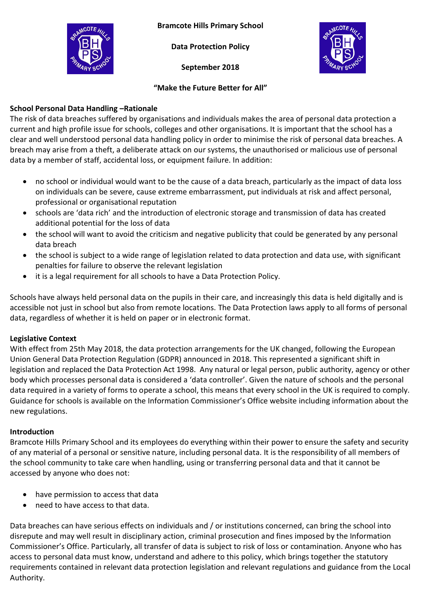**Bramcote Hills Primary School**

**Data Protection Policy**

**September 2018**



#### **"Make the Future Better for All"**

# **School Personal Data Handling –Rationale**

The risk of data breaches suffered by organisations and individuals makes the area of personal data protection a current and high profile issue for schools, colleges and other organisations. It is important that the school has a clear and well understood personal data handling policy in order to minimise the risk of personal data breaches. A breach may arise from a theft, a deliberate attack on our systems, the unauthorised or malicious use of personal data by a member of staff, accidental loss, or equipment failure. In addition:

- no school or individual would want to be the cause of a data breach, particularly as the impact of data loss on individuals can be severe, cause extreme embarrassment, put individuals at risk and affect personal, professional or organisational reputation
- schools are 'data rich' and the introduction of electronic storage and transmission of data has created additional potential for the loss of data
- the school will want to avoid the criticism and negative publicity that could be generated by any personal data breach
- the school is subject to a wide range of legislation related to data protection and data use, with significant penalties for failure to observe the relevant legislation
- it is a legal requirement for all schools to have a Data Protection Policy.

Schools have always held personal data on the pupils in their care, and increasingly this data is held digitally and is accessible not just in school but also from remote locations. The Data Protection laws apply to all forms of personal data, regardless of whether it is held on paper or in electronic format.

# **Legislative Context**

With effect from 25th May 2018, the data protection arrangements for the UK changed, following the European Union General Data Protection Regulation (GDPR) announced in 2018. This represented a significant shift in legislation and replaced the Data Protection Act 1998. Any natural or legal person, public authority, agency or other body which processes personal data is considered a 'data controller'. Given the nature of schools and the personal data required in a variety of forms to operate a school, this means that every school in the UK is required to comply. Guidance for schools is available on the Information Commissioner's Office website including information about the new regulations.

# **Introduction**

Bramcote Hills Primary School and its employees do everything within their power to ensure the safety and security of any material of a personal or sensitive nature, including personal data. It is the responsibility of all members of the school community to take care when handling, using or transferring personal data and that it cannot be accessed by anyone who does not:

- have permission to access that data
- need to have access to that data.

Data breaches can have serious effects on individuals and / or institutions concerned, can bring the school into disrepute and may well result in disciplinary action, criminal prosecution and fines imposed by the Information Commissioner's Office. Particularly, all transfer of data is subject to risk of loss or contamination. Anyone who has access to personal data must know, understand and adhere to this policy, which brings together the statutory requirements contained in relevant data protection legislation and relevant regulations and guidance from the Local Authority.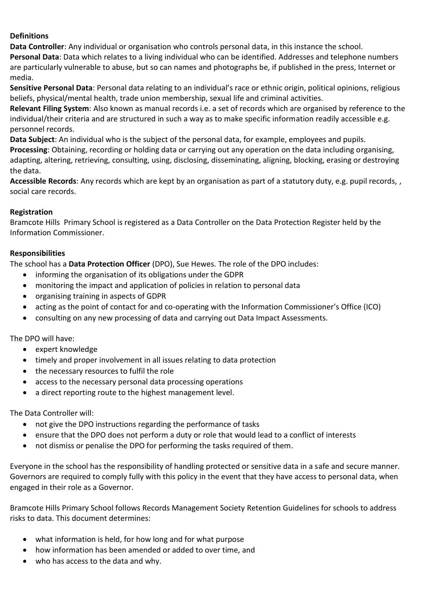### **Definitions**

**Data Controller**: Any individual or organisation who controls personal data, in this instance the school.

**Personal Data**: Data which relates to a living individual who can be identified. Addresses and telephone numbers are particularly vulnerable to abuse, but so can names and photographs be, if published in the press, Internet or media.

**Sensitive Personal Data**: Personal data relating to an individual's race or ethnic origin, political opinions, religious beliefs, physical/mental health, trade union membership, sexual life and criminal activities.

**Relevant Filing System**: Also known as manual records i.e. a set of records which are organised by reference to the individual/their criteria and are structured in such a way as to make specific information readily accessible e.g. personnel records.

**Data Subject**: An individual who is the subject of the personal data, for example, employees and pupils. **Processing**: Obtaining, recording or holding data or carrying out any operation on the data including organising, adapting, altering, retrieving, consulting, using, disclosing, disseminating, aligning, blocking, erasing or destroying the data.

**Accessible Records**: Any records which are kept by an organisation as part of a statutory duty, e.g. pupil records, , social care records.

### **Registration**

Bramcote Hills Primary School is registered as a Data Controller on the Data Protection Register held by the Information Commissioner.

### **Responsibilities**

The school has a **Data Protection Officer** (DPO), Sue Hewes. The role of the DPO includes:

- informing the organisation of its obligations under the GDPR
- monitoring the impact and application of policies in relation to personal data
- organising training in aspects of GDPR
- acting as the point of contact for and co-operating with the Information Commissioner's Office (ICO)
- consulting on any new processing of data and carrying out Data Impact Assessments.

The DPO will have:

- expert knowledge
- timely and proper involvement in all issues relating to data protection
- the necessary resources to fulfil the role
- access to the necessary personal data processing operations
- a direct reporting route to the highest management level.

#### The Data Controller will:

- not give the DPO instructions regarding the performance of tasks
- ensure that the DPO does not perform a duty or role that would lead to a conflict of interests
- not dismiss or penalise the DPO for performing the tasks required of them.

Everyone in the school has the responsibility of handling protected or sensitive data in a safe and secure manner. Governors are required to comply fully with this policy in the event that they have access to personal data, when engaged in their role as a Governor.

Bramcote Hills Primary School follows Records Management Society Retention Guidelines for schools to address risks to data. This document determines:

- what information is held, for how long and for what purpose
- how information has been amended or added to over time, and
- who has access to the data and why.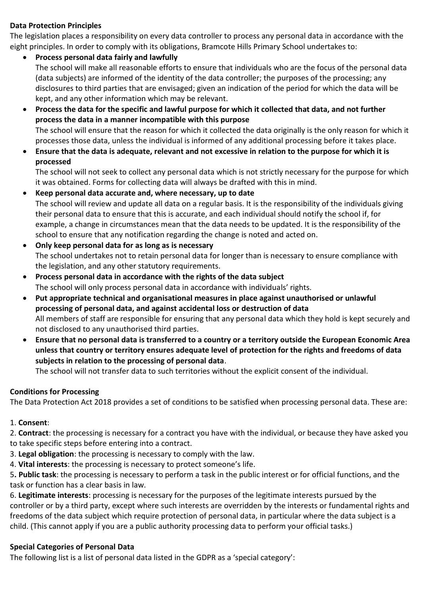#### **Data Protection Principles**

The legislation places a responsibility on every data controller to process any personal data in accordance with the eight principles. In order to comply with its obligations, Bramcote Hills Primary School undertakes to:

- **Process personal data fairly and lawfully** The school will make all reasonable efforts to ensure that individuals who are the focus of the personal data (data subjects) are informed of the identity of the data controller; the purposes of the processing; any disclosures to third parties that are envisaged; given an indication of the period for which the data will be kept, and any other information which may be relevant.
- **Process the data for the specific and lawful purpose for which it collected that data, and not further process the data in a manner incompatible with this purpose** The school will ensure that the reason for which it collected the data originally is the only reason for which it processes those data, unless the individual is informed of any additional processing before it takes place.
- **Ensure that the data is adequate, relevant and not excessive in relation to the purpose for which it is processed**

The school will not seek to collect any personal data which is not strictly necessary for the purpose for which it was obtained. Forms for collecting data will always be drafted with this in mind.

- **Keep personal data accurate and, where necessary, up to date** The school will review and update all data on a regular basis. It is the responsibility of the individuals giving their personal data to ensure that this is accurate, and each individual should notify the school if, for example, a change in circumstances mean that the data needs to be updated. It is the responsibility of the school to ensure that any notification regarding the change is noted and acted on.
- **Only keep personal data for as long as is necessary** The school undertakes not to retain personal data for longer than is necessary to ensure compliance with the legislation, and any other statutory requirements.
- **Process personal data in accordance with the rights of the data subject** The school will only process personal data in accordance with individuals' rights.
- **Put appropriate technical and organisational measures in place against unauthorised or unlawful processing of personal data, and against accidental loss or destruction of data** All members of staff are responsible for ensuring that any personal data which they hold is kept securely and not disclosed to any unauthorised third parties.
- **Ensure that no personal data is transferred to a country or a territory outside the European Economic Area unless that country or territory ensures adequate level of protection for the rights and freedoms of data subjects in relation to the processing of personal data**.

The school will not transfer data to such territories without the explicit consent of the individual.

# **Conditions for Processing**

The Data Protection Act 2018 provides a set of conditions to be satisfied when processing personal data. These are:

1. **Consent**:

2. **Contract**: the processing is necessary for a contract you have with the individual, or because they have asked you to take specific steps before entering into a contract.

- 3. **Legal obligation**: the processing is necessary to comply with the law.
- 4. **Vital interests**: the processing is necessary to protect someone's life.

5**. Public task**: the processing is necessary to perform a task in the public interest or for official functions, and the task or function has a clear basis in law.

6. **Legitimate interests**: processing is necessary for the purposes of the legitimate interests pursued by the controller or by a third party, except where such interests are overridden by the interests or fundamental rights and freedoms of the data subject which require protection of personal data, in particular where the data subject is a child. (This cannot apply if you are a public authority processing data to perform your official tasks.)

#### **Special Categories of Personal Data**

The following list is a list of personal data listed in the GDPR as a 'special category':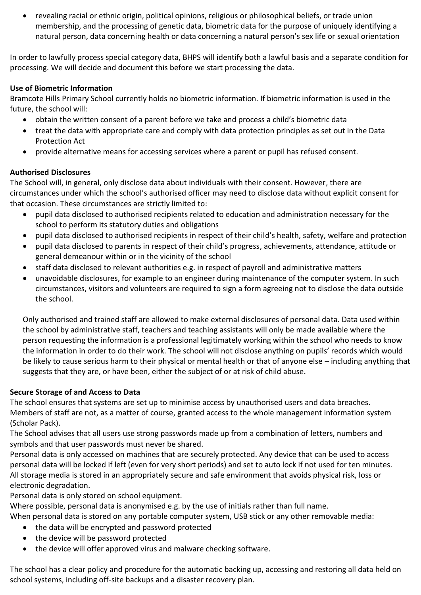revealing racial or ethnic origin, political opinions, religious or philosophical beliefs, or trade union membership, and the processing of genetic data, biometric data for the purpose of uniquely identifying a natural person, data concerning health or data concerning a natural person's sex life or sexual orientation

In order to lawfully process special category data, BHPS will identify both a lawful basis and a separate condition for processing. We will decide and document this before we start processing the data.

### **Use of Biometric Information**

Bramcote Hills Primary School currently holds no biometric information. If biometric information is used in the future, the school will:

- obtain the written consent of a parent before we take and process a child's biometric data
- treat the data with appropriate care and comply with data protection principles as set out in the Data Protection Act
- provide alternative means for accessing services where a parent or pupil has refused consent.

# **Authorised Disclosures**

The School will, in general, only disclose data about individuals with their consent. However, there are circumstances under which the school's authorised officer may need to disclose data without explicit consent for that occasion. These circumstances are strictly limited to:

- pupil data disclosed to authorised recipients related to education and administration necessary for the school to perform its statutory duties and obligations
- pupil data disclosed to authorised recipients in respect of their child's health, safety, welfare and protection
- pupil data disclosed to parents in respect of their child's progress, achievements, attendance, attitude or general demeanour within or in the vicinity of the school
- staff data disclosed to relevant authorities e.g. in respect of payroll and administrative matters
- unavoidable disclosures, for example to an engineer during maintenance of the computer system. In such circumstances, visitors and volunteers are required to sign a form agreeing not to disclose the data outside the school.

Only authorised and trained staff are allowed to make external disclosures of personal data. Data used within the school by administrative staff, teachers and teaching assistants will only be made available where the person requesting the information is a professional legitimately working within the school who needs to know the information in order to do their work. The school will not disclose anything on pupils' records which would be likely to cause serious harm to their physical or mental health or that of anyone else – including anything that suggests that they are, or have been, either the subject of or at risk of child abuse.

# **Secure Storage of and Access to Data**

The school ensures that systems are set up to minimise access by unauthorised users and data breaches. Members of staff are not, as a matter of course, granted access to the whole management information system (Scholar Pack).

The School advises that all users use strong passwords made up from a combination of letters, numbers and symbols and that user passwords must never be shared.

Personal data is only accessed on machines that are securely protected. Any device that can be used to access personal data will be locked if left (even for very short periods) and set to auto lock if not used for ten minutes. All storage media is stored in an appropriately secure and safe environment that avoids physical risk, loss or electronic degradation.

Personal data is only stored on school equipment.

Where possible, personal data is anonymised e.g. by the use of initials rather than full name.

When personal data is stored on any portable computer system, USB stick or any other removable media:

- the data will be encrypted and password protected
- the device will be password protected
- the device will offer approved virus and malware checking software.

The school has a clear policy and procedure for the automatic backing up, accessing and restoring all data held on school systems, including off-site backups and a disaster recovery plan.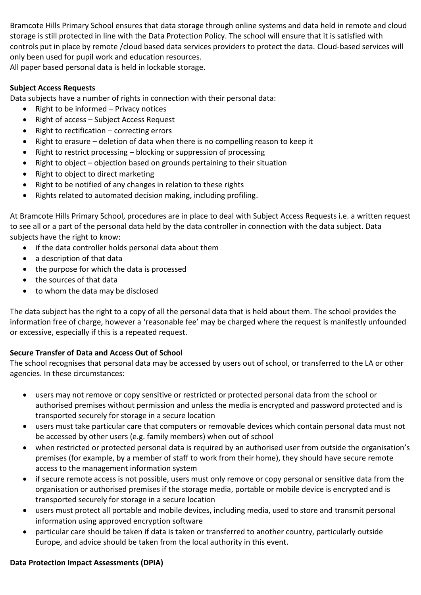Bramcote Hills Primary School ensures that data storage through online systems and data held in remote and cloud storage is still protected in line with the Data Protection Policy. The school will ensure that it is satisfied with controls put in place by remote /cloud based data services providers to protect the data. Cloud-based services will only been used for pupil work and education resources.

All paper based personal data is held in lockable storage.

### **Subject Access Requests**

Data subjects have a number of rights in connection with their personal data:

- Right to be informed  $-$  Privacy notices
- Right of access Subject Access Request
- $\bullet$  Right to rectification correcting errors
- Right to erasure deletion of data when there is no compelling reason to keep it
- Right to restrict processing blocking or suppression of processing
- Right to object objection based on grounds pertaining to their situation
- Right to object to direct marketing
- Right to be notified of any changes in relation to these rights
- Rights related to automated decision making, including profiling.

At Bramcote Hills Primary School, procedures are in place to deal with Subject Access Requests i.e. a written request to see all or a part of the personal data held by the data controller in connection with the data subject. Data subjects have the right to know:

- if the data controller holds personal data about them
- a description of that data
- the purpose for which the data is processed
- the sources of that data
- to whom the data may be disclosed

The data subject has the right to a copy of all the personal data that is held about them. The school provides the information free of charge, however a 'reasonable fee' may be charged where the request is manifestly unfounded or excessive, especially if this is a repeated request.

# **Secure Transfer of Data and Access Out of School**

The school recognises that personal data may be accessed by users out of school, or transferred to the LA or other agencies. In these circumstances:

- users may not remove or copy sensitive or restricted or protected personal data from the school or authorised premises without permission and unless the media is encrypted and password protected and is transported securely for storage in a secure location
- users must take particular care that computers or removable devices which contain personal data must not be accessed by other users (e.g. family members) when out of school
- when restricted or protected personal data is required by an authorised user from outside the organisation's premises (for example, by a member of staff to work from their home), they should have secure remote access to the management information system
- if secure remote access is not possible, users must only remove or copy personal or sensitive data from the organisation or authorised premises if the storage media, portable or mobile device is encrypted and is transported securely for storage in a secure location
- users must protect all portable and mobile devices, including media, used to store and transmit personal information using approved encryption software
- particular care should be taken if data is taken or transferred to another country, particularly outside Europe, and advice should be taken from the local authority in this event.

#### **Data Protection Impact Assessments (DPIA)**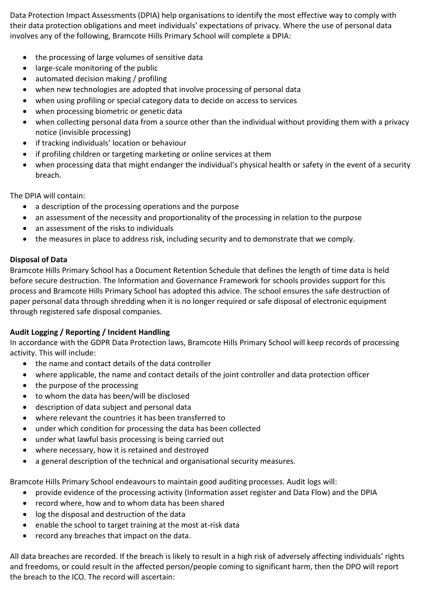Data Protection Impact Assessments (DPIA) help organisations to identify the most effective way to comply with their data protection obligations and meet individuals' expectations of privacy. Where the use of personal data involves any of the following, Bramcote Hills Primary School will complete a DPIA:

- the processing of large volumes of sensitive data
- large-scale monitoring of the public
- automated decision making / profiling
- when new technologies are adopted that involve processing of personal data
- when using profiling or special category data to decide on access to services
- when processing biometric or genetic data
- when collecting personal data from a source other than the individual without providing them with a privacy notice (invisible processing)
- if tracking individuals' location or behaviour
- if profiling children or targeting marketing or online services at them
- when processing data that might endanger the individual's physical health or safety in the event of a security breach.

The DPIA will contain:

- a description of the processing operations and the purpose
- an assessment of the necessity and proportionality of the processing in relation to the purpose
- an assessment of the risks to individuals
- the measures in place to address risk, including security and to demonstrate that we comply.

# **Disposal of Data**

Bramcote Hills Primary School has a Document Retention Schedule that defines the length of time data is held before secure destruction. The Information and Governance Framework for schools provides support for this process and Bramcote Hills Primary School has adopted this advice. The school ensures the safe destruction of paper personal data through shredding when it is no longer required or safe disposal of electronic equipment through registered safe disposal companies.

# **Audit Logging / Reporting / Incident Handling**

In accordance with the GDPR Data Protection laws, Bramcote Hills Primary School will keep records of processing activity. This will include:

- the name and contact details of the data controller
- where applicable, the name and contact details of the joint controller and data protection officer
- the purpose of the processing
- to whom the data has been/will be disclosed
- description of data subject and personal data
- where relevant the countries it has been transferred to
- under which condition for processing the data has been collected
- under what lawful basis processing is being carried out
- where necessary, how it is retained and destroyed
- a general description of the technical and organisational security measures.

Bramcote Hills Primary School endeavours to maintain good auditing processes. Audit logs will:

- provide evidence of the processing activity (Information asset register and Data Flow) and the DPIA
- record where, how and to whom data has been shared
- log the disposal and destruction of the data
- enable the school to target training at the most at-risk data
- record any breaches that impact on the data.

All data breaches are recorded. If the breach is likely to result in a high risk of adversely affecting individuals' rights and freedoms, or could result in the affected person/people coming to significant harm, then the DPO will report the breach to the ICO. The record will ascertain: